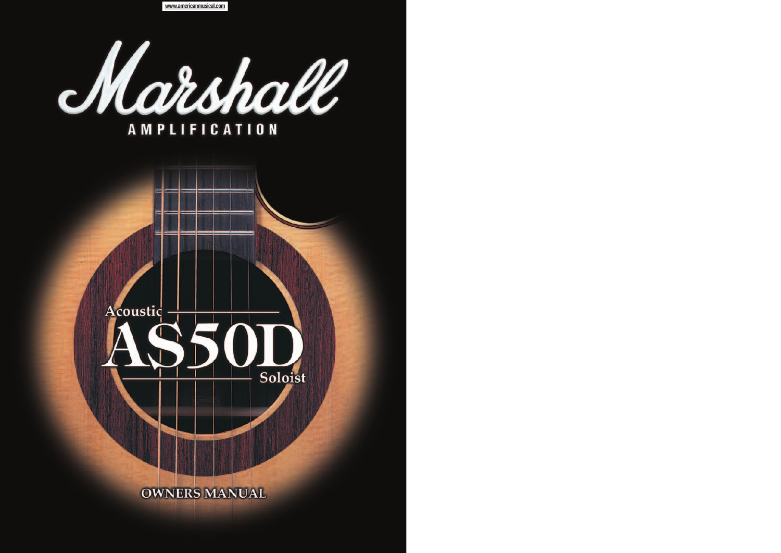www.americanmusical.com

Marshall

# **AMPLIFICATION**

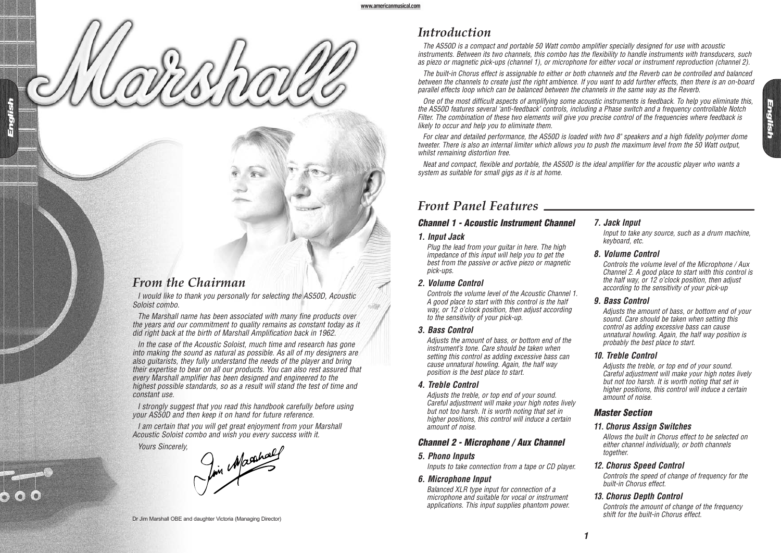### *Introduction*

The AS50D is a compact and portable 50 Watt combo amplifier specially designed for use with acoustic instruments. Between its two channels, this combo has the flexibility to handle instruments with transducers, such as piezo or magnetic pick-ups (channel 1), or microphone for either vocal or instrument reproduction (channel 2).

The built-in Chorus effect is assignable to either or both channels and the Reverb can be controlled and balanced between the channels to create just the right ambience. If you want to add further effects, then there is an on-board parallel effects loop which can be balanced between the channels in the same way as the Reverb.

One of the most difficult aspects of amplifying some acoustic instruments is feedback. To help you eliminate this, the AS50D features several 'anti-feedback' controls, including a Phase switch and a frequency controllable Notch Filter. The combination of these two elements will give you precise control of the frequencies where feedback is likely to occur and help you to eliminate them.

For clear and detailed performance, the AS50D is loaded with two 8" speakers and a high fidelity polymer dome tweeter. There is also an internal limiter which allows you to push the maximum level from the 50 Watt output, whilst remaining distortion free.

Neat and compact, flexible and portable, the AS50D is the ideal amplifier for the acoustic player who wants a system as suitable for small gigs as it is at home.

### *Front Panel Features*

#### **Channel 1 - Acoustic Instrument Channel**

#### **1. Input Jack**

Plug the lead from your guitar in here. The high impedance of this input will help you to get the best from the passive or active piezo or magnetic pick-ups.

**2. Volume Control**

Controls the volume level of the Acoustic Channel 1. A good place to start with this control is the half way, or 12 o'clock position, then adjust according to the sensitivity of your pick-up.

**3. Bass Control**

Adjusts the amount of bass, or bottom end of the instrument's tone. Care should be taken when setting this control as adding excessive bass can cause unnatural howling. Again, the half way position is the best place to start.

**4. Treble Control**

Adjusts the treble, or top end of your sound. Careful adjustment will make your high notes lively but not too harsh. It is worth noting that set in higher positions, this control will induce a certain amount of noise.

#### **Channel 2 - Microphone / Aux Channel**

**5. Phono Inputs**

Inputs to take connection from a tape or CD player.

**6. Microphone Input**

Balanced XLR type input for connection of a microphone and suitable for vocal or instrument applications. This input supplies phantom power.

### **7. Jack Input**

Input to take any source, such as a drum machine, keyboard, etc.

#### **8. Volume Control**

Controls the volume level of the Microphone / Aux Channel 2. A good place to start with this control is the half way, or 12 o'clock position, then adjust according to the sensitivity of your pick-up

#### **9. Bass Control**

Adjusts the amount of bass, or bottom end of your sound. Care should be taken when setting this control as adding excessive bass can cause unnatural howling. Again, the half way position is probably the best place to start.

#### **10. Treble Control**

Adjusts the treble, or top end of your sound. Careful adjustment will make your high notes lively but not too harsh. It is worth noting that set in higher positions, this control will induce a certain amount of noise.

#### **Master Section**

#### **11. Chorus Assign Switches**

Allows the built in Chorus effect to be selected on either channel individually, or both channels together.

#### **12. Chorus Speed Control**

Controls the speed of change of frequency for the built-in Chorus effect.

#### **13. Chorus Depth Control**

Controls the amount of change of the frequency

## *From the Chairman*

**English**

I would like to thank you personally for selecting the AS50D, Acoustic Soloist combo.

The Marshall name has been associated with many fine products over the years and our commitment to quality remains as constant today as it did right back at the birth of Marshall Amplification back in 1962.

In the case of the Acoustic Soloist, much time and research has gone into making the sound as natural as possible. As all of my designers are also guitarists, they fully understand the needs of the player and bring their expertise to bear on all our products. You can also rest assured that every Marshall amplifier has been designed and engineered to the highest possible standards, so as a result will stand the test of time and constant use.

I strongly suggest that you read this handbook carefully before using your AS50D and then keep it on hand for future reference.

I am certain that you will get great enjoyment from your Marshall

Acoustic Soloist combo and wish you every success with it.<br>Yours Sincerely,<br>And Macahael

shift for the built-in Chorus effect. Dr Jim Marshall OBE and daughter Victoria (Managing Director)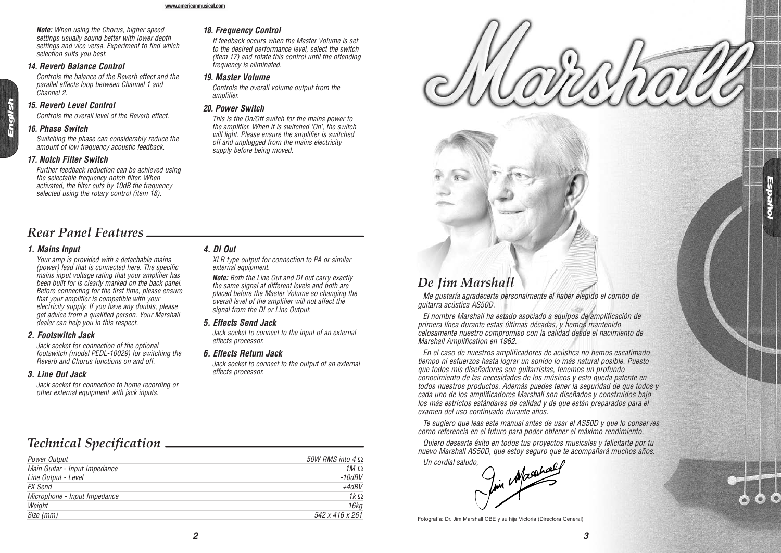**Note:** When using the Chorus, higher speed settings usually sound better with lower depth settings and vice versa. Experiment to find which selection suits you best.

#### **14. Reverb Balance Control**

Controls the balance of the Reverb effect and the parallel effects loop between Channel 1 and Channel 2.

#### **15. Reverb Level Control**

Controls the overall level of the Reverb effect.

#### **16. Phase Switch**

Switching the phase can considerably reduce the amount of low frequency acoustic feedback.

#### **17. Notch Filter Switch**

Further feedback reduction can be achieved using the selectable frequency notch filter. When activated, the filter cuts by 10dB the frequency selected using the rotary control (item 18).

#### **18. Frequency Control**

If feedback occurs when the Master Volume is set to the desired performance level, select the switch (item 17) and rotate this control until the offending frequency is eliminated.

#### **19. Master Volume**

Controls the overall volume output from the amplifier.

#### **20. Power Switch**

This is the On/Off switch for the mains power to the amplifier. When it is switched 'On', the switch will light. Please ensure the amplifier is switched off and unplugged from the mains electricity supply before being moved.

### *Rear Panel Features*

#### **1. Mains Input**

Your amp is provided with a detachable mains (power) lead that is connected here. The specific mains input voltage rating that your amplifier has been built for is clearly marked on the back panel. Before connecting for the first time, please ensure that your amplifier is compatible with your electricity supply. If you have any doubts, please get advice from a qualified person. Your Marshall dealer can help you in this respect.

#### **2. Footswitch Jack**

Jack socket for connection of the optional footswitch (model PEDL-10029) for switching the Reverb and Chorus functions on and off.

#### **3. Line Out Jack**

Jack socket for connection to home recording or other external equipment with jack inputs.

#### **4. DI Out**

XLR type output for connection to PA or similar external equipment.

**Note:** Both the Line Out and DI out carry exactly the same signal at different levels and both are placed before the Master Volume so changing the overall level of the amplifier will not affect the signal from the  $DI$  or  $I$  ine Output.

#### **5. Effects Send Jack**

Jack socket to connect to the input of an external effects processor.

#### **6. Effects Return Jack**

Jack socket to connect to the output of an external effects processor.

# *Technical Specification*

| <b>Power Output</b>           | 50W RMS into 4 $\Omega$ |
|-------------------------------|-------------------------|
| Main Guitar - Input Impedance | 1 $M\Omega$             |
| Line Output - Level           | $-10$ d $BV$            |
| <b>FX</b> Send                | $+4$ dBV                |
| Microphone - Input Impedance  | $1k\Omega$              |
| Weight                        | 16kg                    |
| Size (mm)                     | 542 x 416 x 261         |